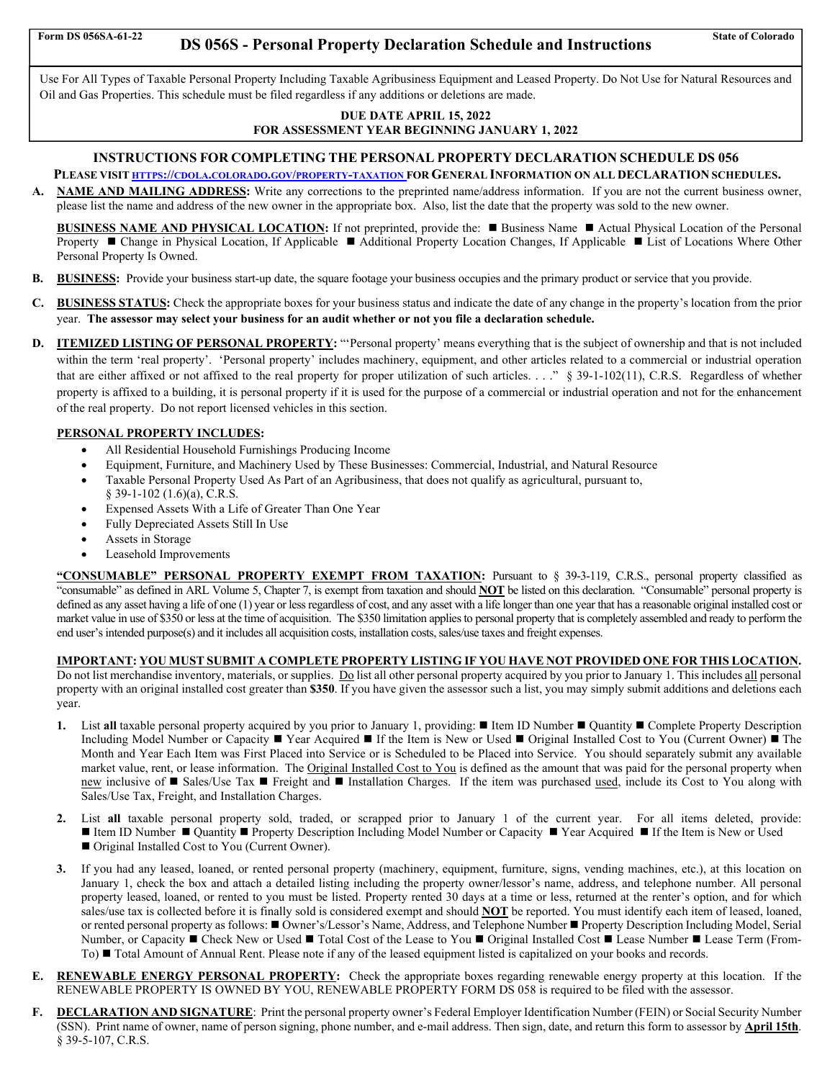the contract of the contract of the contract of

# Form DS 056SA-61-22 **DS 056S - Personal Property Declaration Schedule and Instructions** State of Colorado

Use For All Types of Taxable Personal Property Including Taxable Agribusiness Equipment and Leased Property. Do Not Use for Natural Resources and Oil and Gas Properties. This schedule must be filed regardless if any additions or deletions are made.

#### **DUE DATE APRIL 15, 2022 FOR ASSESSMENT YEAR BEGINNING JANUARY 1, 2022**

## **INSTRUCTIONS FOR COMPLETING THE PERSONAL PROPERTY DECLARATION SCHEDULE DS 056**

- **PLEASE VISIT HTTPS://CDOLA.COLORADO.GOV/PROPERTY-TAXATION FOR GENERAL INFORMATION ON ALL DECLARATION SCHEDULES.**
- **A. NAME AND MAILING ADDRESS:** Write any corrections to the preprinted name/address information. If you are not the current business owner, please list the name and address of the new owner in the appropriate box. Also, list the date that the property was sold to the new owner.

**BUSINESS NAME AND PHYSICAL LOCATION:** If not preprinted, provide the: ■ Business Name ■ Actual Physical Location of the Personal Property ■ Change in Physical Location, If Applicable ■ Additional Property Location Changes, If Applicable ■ List of Locations Where Other Personal Property Is Owned.

- **B. BUSINESS:** Provide your business start-up date, the square footage your business occupies and the primary product or service that you provide.
- **C. BUSINESS STATUS:** Check the appropriate boxes for your business status and indicate the date of any change in the property's location from the prior year. **The assessor may select your business for an audit whether or not you file a declaration schedule.**
- **D. ITEMIZED LISTING OF PERSONAL PROPERTY:** "Personal property' means everything that is the subject of ownership and that is not included within the term 'real property'. 'Personal property' includes machinery, equipment, and other articles related to a commercial or industrial operation that are either affixed or not affixed to the real property for proper utilization of such articles. . . ." § 39-1-102(11), C.R.S. Regardless of whether property is affixed to a building, it is personal property if it is used for the purpose of a commercial or industrial operation and not for the enhancement of the real property. Do not report licensed vehicles in this section.

### **PERSONAL PROPERTY INCLUDES:**

- All Residential Household Furnishings Producing Income
- Equipment, Furniture, and Machinery Used by These Businesses: Commercial, Industrial, and Natural Resource
- Taxable Personal Property Used As Part of an Agribusiness, that does not qualify as agricultural, pursuant to,
- § 39-1-102 (1.6)(a), C.R.S.
- Expensed Assets With a Life of Greater Than One Year
- Fully Depreciated Assets Still In Use
- Assets in Storage
- Leasehold Improvements

**"CONSUMABLE" PERSONAL PROPERTY EXEMPT FROM TAXATION:** Pursuant to § 39-3-119, C.R.S., personal property classified as "consumable" as defined in ARL Volume 5, Chapter 7, is exempt from taxation and should **NOT** be listed on this declaration. "Consumable" personal property is defined as any asset having a life of one (1) year or less regardless of cost, and any asset with a life longer than one year that has a reasonable original installed cost or market value in use of \$350 or less at the time of acquisition. The \$350 limitation applies to personal property that is completely assembled and ready to perform the end user's intended purpose(s) and it includes all acquisition costs, installation costs, sales/use taxes and freight expenses.

## **IMPORTANT: YOU MUST SUBMIT A COMPLETE PROPERTY LISTING IF YOU HAVE NOT PROVIDED ONE FOR THIS LOCATION.**

Do not list merchandise inventory, materials, or supplies. Do list all other personal property acquired by you prior to January 1. This includes all personal property with an original installed cost greater than **\$350**. If you have given the assessor such a list, you may simply submit additions and deletions each year.

- **1.** List all taxable personal property acquired by you prior to January 1, providing: Item ID Number Quantity Complete Property Description Including Model Number or Capacity ■ Year Acquired ■ If the Item is New or Used ■ Original Installed Cost to You (Current Owner) ■ The Month and Year Each Item was First Placed into Service or is Scheduled to be Placed into Service. You should separately submit any available market value, rent, or lease information. The Original Installed Cost to You is defined as the amount that was paid for the personal property when new inclusive of Sales/Use Tax Freight and Installation Charges. If the item was purchased used, include its Cost to You along with Sales/Use Tax, Freight, and Installation Charges.
- **2.** List **all** taxable personal property sold, traded, or scrapped prior to January 1 of the current year. For all items deleted, provide: ■ Item ID Number ■ Quantity ■ Property Description Including Model Number or Capacity ■ Year Acquired ■ If the Item is New or Used ■ Original Installed Cost to You (Current Owner).
- **3.** If you had any leased, loaned, or rented personal property (machinery, equipment, furniture, signs, vending machines, etc.), at this location on January 1, check the box and attach a detailed listing including the property owner/lessor's name, address, and telephone number. All personal property leased, loaned, or rented to you must be listed. Property rented 30 days at a time or less, returned at the renter's option, and for which sales/use tax is collected before it is finally sold is considered exempt and should **NOT** be reported. You must identify each item of leased, loaned, or rented personal property as follows: ■ Owner's/Lessor's Name, Address, and Telephone Number ■ Property Description Including Model, Serial Number, or Capacity ■ Check New or Used ■ Total Cost of the Lease to You ■ Original Installed Cost ■ Lease Number ■ Lease Term (From-To) ■ Total Amount of Annual Rent. Please note if any of the leased equipment listed is capitalized on your books and records.
- **E. RENEWABLE ENERGY PERSONAL PROPERTY:** Check the appropriate boxes regarding renewable energy property at this location. If the RENEWABLE PROPERTY IS OWNED BY YOU, RENEWABLE PROPERTY FORM DS 058 is required to be filed with the assessor.
- **F. DECLARATION AND SIGNATURE**: Print the personal property owner's Federal Employer Identification Number (FEIN) or Social Security Number (SSN). Print name of owner, name of person signing, phone number, and e-mail address. Then sign, date, and return this form to assessor by **April 15th**. § 39-5-107, C.R.S.